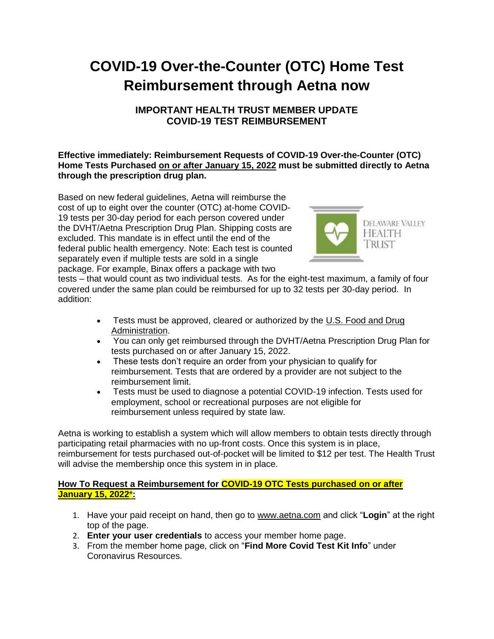# **COVID-19 Over-the-Counter (OTC) Home Test Reimbursement through Aetna now**

## **IMPORTANT HEALTH TRUST MEMBER UPDATE COVID-19 TEST REIMBURSEMENT**

## **Effective immediately: Reimbursement Requests of COVID-19 Over-the-Counter (OTC) Home Tests Purchased on or after January 15, 2022 must be submitted directly to Aetna through the prescription drug plan.**

Based on new federal guidelines, Aetna will reimburse the cost of up to eight over the counter (OTC) at-home COVID-19 tests per 30-day period for each person covered under the DVHT/Aetna Prescription Drug Plan. Shipping costs are excluded. This mandate is in effect until the end of the federal public health emergency. Note: Each test is counted separately even if multiple tests are sold in a single package. For example, Binax offers a package with two



tests – that would count as two individual tests. As for the eight-test maximum, a family of four covered under the same plan could be reimbursed for up to 32 tests per 30-day period. In addition:

- Tests must be approved, cleared or authorized by the U.S. Food and Drug [Administration.](https://www.fda.gov/medical-devices/coronavirus-disease-2019-covid-19-emergency-use-authorizations-medical-devices/in-vitro-diagnostics-euas-antigen-diagnostic-tests-sars-cov-2)
- You can only get reimbursed through the DVHT/Aetna Prescription Drug Plan for tests purchased on or after January 15, 2022.
- These tests don't require an order from your physician to qualify for reimbursement. Tests that are ordered by a provider are not subject to the reimbursement limit.
- Tests must be used to diagnose a potential COVID-19 infection. Tests used for employment, school or recreational purposes are not eligible for reimbursement unless required by state law.

Aetna is working to establish a system which will allow members to obtain tests directly through participating retail pharmacies with no up-front costs. Once this system is in place, reimbursement for tests purchased out-of-pocket will be limited to \$12 per test. The Health Trust will advise the membership once this system in in place.

## **How To Request a Reimbursement for COVID-19 OTC Tests purchased on or after January 15, 2022\*:**

- 1. Have your paid receipt on hand, then go to [www.aetna.com](https://protect-us.mimecast.com/s/7YEZCW6X8NfzmrMMYuxKEjI?domain=aetna.com) and click "**Login**" at the right top of the page.
- 2. **Enter your user credentials** to access your member home page.
- 3. From the member home page, click on "**Find More Covid Test Kit Info**" under Coronavirus Resources.